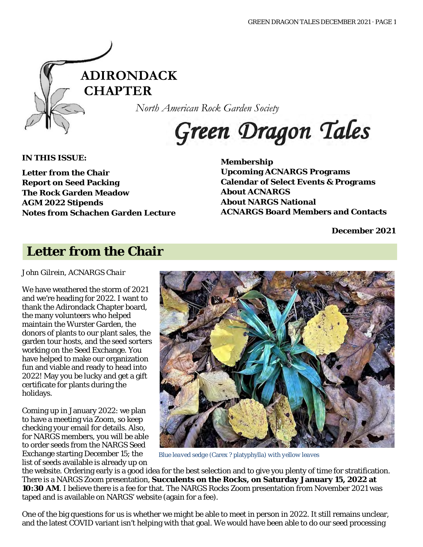

*North American Rock Garden Society*

# Green Dragon Tales

**IN THIS ISSUE:**

**Letter from the Chair Report on Seed Packing The Rock Garden Meadow AGM 2022 Stipends Notes from Schachen Garden Lecture** **Membership Upcoming ACNARGS Programs Calendar of Select Events & Programs About ACNARGS About NARGS National ACNARGS Board Members and Contacts**

**December 2021**

## **Letter from the Chair**

*John Gilrein, ACNARGS Chair*

We have weathered the storm of 2021 and we're heading for 2022. I want to thank the Adirondack Chapter board, the many volunteers who helped maintain the Wurster Garden, the donors of plants to our plant sales, the garden tour hosts, and the seed sorters working on the Seed Exchange. You have helped to make our organization fun and viable and ready to head into 2022! May you be lucky and get a gift certificate for plants during the holidays.

Coming up in January 2022: we plan to have a meeting via Zoom, so keep checking your email for details. Also, for NARGS members, you will be able to order seeds from the NARGS Seed Exchange starting December 15; the list of seeds available is already up on



*Blue leaved sedge (*Carex *?* platyphylla*) with yellow leaves*

the website. Ordering early is a good idea for the best selection and to give you plenty of time for stratification. There is a NARGS Zoom presentation, *Succulents on the Rocks***, on Saturday January 15, 2022 at 10:30 AM**. I believe there is a fee for that. The NARGS Rocks Zoom presentation from November 2021 was taped and is available on NARGS' website (again for a fee).

One of the big questions for us is whether we might be able to meet in person in 2022. It still remains unclear, and the latest COVID variant isn't helping with that goal. We would have been able to do our seed processing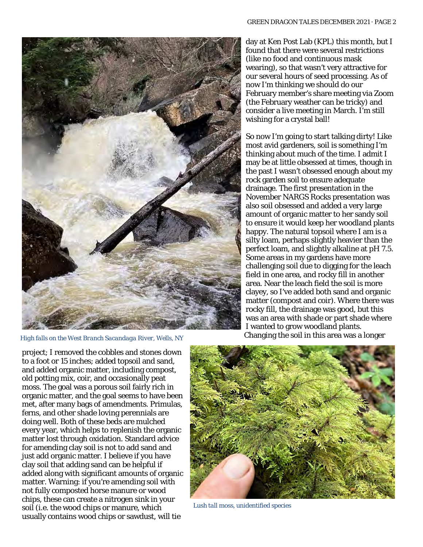

*High falls on the West Branch Sacandaga River, Wells, NY*

day at Ken Post Lab (KPL) this month, but I found that there were several restrictions (like no food and continuous mask wearing), so that wasn't very attractive for our several hours of seed processing. As of now I'm thinking we should do our February member's share meeting via Zoom (the February weather can be tricky) and consider a live meeting in March. I'm still wishing for a crystal ball!

So now I'm going to start talking dirty! Like most avid gardeners, soil is something I'm thinking about much of the time. I admit I may be at little obsessed at times, though in the past I wasn't obsessed enough about my rock garden soil to ensure adequate drainage. The first presentation in the November NARGS Rocks presentation was also soil obsessed and added a very large amount of organic matter to her sandy soil to ensure it would keep her woodland plants happy. The natural topsoil where I am is a silty loam, perhaps slightly heavier than the perfect loam, and slightly alkaline at pH 7.5. Some areas in my gardens have more challenging soil due to digging for the leach field in one area, and rocky fill in another area. Near the leach field the soil is more clayey, so I've added both sand and organic matter (compost and coir). Where there was rocky fill, the drainage was good, but this was an area with shade or part shade where I wanted to grow woodland plants. Changing the soil in this area was a longer

project; I removed the cobbles and stones down to a foot or 15 inches; added topsoil and sand, and added organic matter, including compost, old potting mix, coir, and occasionally peat moss. The goal was a porous soil fairly rich in organic matter, and the goal seems to have been met, after many bags of amendments. Primulas, ferns, and other shade loving perennials are doing well. Both of these beds are mulched every year, which helps to replenish the organic matter lost through oxidation. Standard advice for amending clay soil is not to add sand and just add organic matter. I believe if you have clay soil that adding sand can be helpful if added along with significant amounts of organic matter. Warning: if you're amending soil with not fully composted horse manure or wood chips, these can create a nitrogen sink in your soil (i.e. the wood chips or manure, which usually contains wood chips or sawdust, will tie



*Lush tall moss, unidentified species*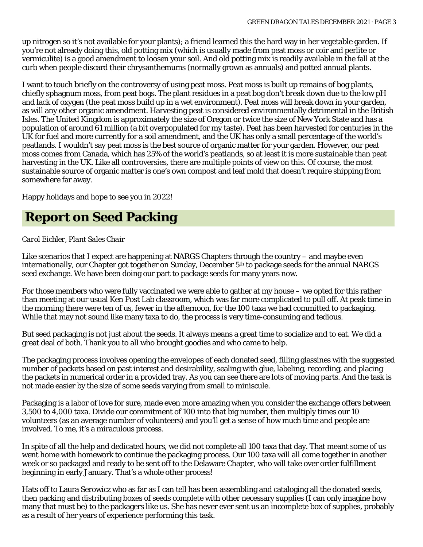up nitrogen so it's not available for your plants); a friend learned this the hard way in her vegetable garden. If you're not already doing this, old potting mix (which is usually made from peat moss or coir and perlite or vermiculite) is a good amendment to loosen your soil. And old potting mix is readily available in the fall at the curb when people discard their chrysanthemums (normally grown as annuals) and potted annual plants.

I want to touch briefly on the controversy of using peat moss. Peat moss is built up remains of bog plants, chiefly sphagnum moss, from peat bogs. The plant residues in a peat bog don't break down due to the low pH and lack of oxygen (the peat moss build up in a wet environment). Peat moss will break down in your garden, as will any other organic amendment. Harvesting peat is considered environmentally detrimental in the British Isles. The United Kingdom is approximately the size of Oregon or twice the size of New York State and has a population of around 61 million (a bit overpopulated for my taste). Peat has been harvested for centuries in the UK for fuel and more currently for a soil amendment, and the UK has only a small percentage of the world's peatlands. I wouldn't say peat moss is the *best* source of organic matter for your garden. However, our peat moss comes from Canada, which has 25% of the world's peatlands, so at least it is more sustainable than peat harvesting in the UK. Like all controversies, there are multiple points of view on this. Of course, the most sustainable source of organic matter is one's own compost and leaf mold that doesn't require shipping from somewhere far away.

Happy holidays and hope to see you in 2022!

# **Report on Seed Packing**

#### *Carol Eichler, Plant Sales Chair*

Like scenarios that I expect are happening at NARGS Chapters through the country – and maybe even internationally, our Chapter got together on Sunday, December 5<sup>th</sup> to package seeds for the annual NARGS seed exchange. We have been doing our part to package seeds for many years now.

For those members who were fully vaccinated we were able to gather at my house – we opted for this rather than meeting at our usual Ken Post Lab classroom, which was far more complicated to pull off. At peak time in the morning there were ten of us, fewer in the afternoon, for the 100 taxa we had committed to packaging. While that may not sound like many taxa to do, the process is very time-consuming and tedious.

But seed packaging is not just about the seeds. It always means a great time to socialize and to eat. We did a great deal of both. Thank you to all who brought goodies and who came to help.

The packaging process involves opening the envelopes of each donated seed, filling glassines with the suggested number of packets based on past interest and desirability, sealing with glue, labeling, recording, and placing the packets in numerical order in a provided tray. As you can see there are lots of moving parts. And the task is not made easier by the size of some seeds varying from small to miniscule.

Packaging is a labor of love for sure, made even more amazing when you consider the exchange offers between 3,500 to 4,000 taxa. Divide our commitment of 100 into that big number, then multiply times our 10 volunteers (as an average number of volunteers) and you'll get a sense of how much time and people are involved. To me, it's a miraculous process.

In spite of all the help and dedicated hours, we did not complete all 100 taxa that day. That meant some of us went home with homework to continue the packaging process. Our 100 taxa will all come together in another week or so packaged and ready to be sent off to the Delaware Chapter, who will take over order fulfillment beginning in early January. That's a whole other process!

Hats off to Laura Serowicz who as far as I can tell has been assembling and cataloging all the donated seeds, then packing and distributing boxes of seeds complete with other necessary supplies (I can only imagine how many that must be) to the packagers like us. She has never ever sent us an incomplete box of supplies, probably as a result of her years of experience performing this task.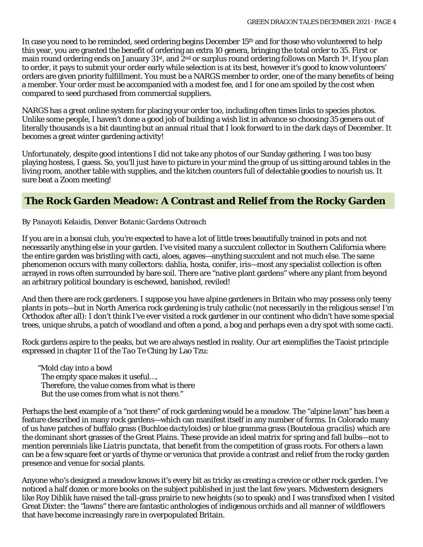In case you need to be reminded, seed ordering begins December 15<sup>th</sup> and for those who volunteered to help this year, you are granted the benefit of ordering an extra 10 genera, bringing the total order to 35. First or main round ordering ends on January 31<sup>st</sup>, and 2<sup>nd</sup> or surplus round ordering follows on March 1<sup>st</sup>. If you plan to order, it pays to submit your order early while selection is at its best, however it's good to know volunteers' orders are given priority fulfillment. You must be a NARGS member to order, one of the many benefits of being a member. Your order must be accompanied with a modest fee, and I for one am spoiled by the cost when compared to seed purchased from commercial suppliers.

NARGS has a great online system for placing your order too, including often times links to species photos. Unlike some people, I haven't done a good job of building a wish list in advance so choosing 35 genera out of literally thousands is a bit daunting but an annual ritual that I look forward to in the dark days of December. It becomes a great winter gardening activity!

Unfortunately, despite good intentions I did not take any photos of our Sunday gathering. I was too busy playing hostess, I guess. So, you'll just have to picture in your mind the group of us sitting around tables in the living room, another table with supplies, and the kitchen counters full of delectable goodies to nourish us. It sure beat a Zoom meeting!

### **The Rock Garden Meadow: A Contrast and Relief from the Rocky Garden**

#### *By Panayoti Kelaidis, Denver Botanic Gardens Outreach*

If you are in a bonsai club, you're expected to have a lot of little trees beautifully trained in pots and not necessarily anything else in your garden. I've visited many a succulent collector in Southern California where the entire garden was bristling with cacti, aloes, agaves—anything succulent and not much else. The same phenomenon occurs with many collectors: dahlia, hosta, conifer, iris—most any specialist collection is often arrayed in rows often surrounded by bare soil. There are "native plant gardens" where any plant from beyond an arbitrary political boundary is eschewed, banished, reviled!

And then there are rock gardeners. I suppose you have alpine gardeners in Britain who may possess only teeny plants in pots—but in North America rock gardening is truly catholic (not necessarily in the religious sense! I'm Orthodox after all): I don't think I've ever visited a rock gardener in our continent who didn't have some special trees, unique shrubs, a patch of woodland and often a pond, a bog and perhaps even a dry spot with some cacti.

Rock gardens aspire to the peaks, but we are always nestled in reality. Our art exemplifies the Taoist principle expressed in chapter 11 of the *Tao Te Ching* by Lao Tzu:

"Mold clay into a bowl The empty space makes it useful…. Therefore, the value comes from what is there But the use comes from what is not there."

Perhaps the best example of a "not there" of rock gardening would be a meadow. The "alpine lawn" has been a feature described in many rock gardens—which can manifest itself in any number of forms. In Colorado many of us have patches of buffalo grass (*Buchloe dactyloides*) or blue gramma grass (*Bouteloua gracilis*) which are the dominant short grasses of the Great Plains. These provide an ideal matrix for spring and fall bulbs—not to mention perennials like *Liatris punctata*, that benefit from the competition of grass roots. For others a lawn can be a few square feet or yards of thyme or veronica that provide a contrast and relief from the rocky garden presence and venue for social plants.

Anyone who's designed a meadow knows it's every bit as tricky as creating a crevice or other rock garden. I've noticed a half dozen or more books on the subject published in just the last few years. Midwestern designers like Roy Diblik have raised the tall-grass prairie to new heights (so to speak) and I was transfixed when I visited Great Dixter: the "lawns" there are fantastic anthologies of indigenous orchids and all manner of wildflowers that have become increasingly rare in overpopulated Britain.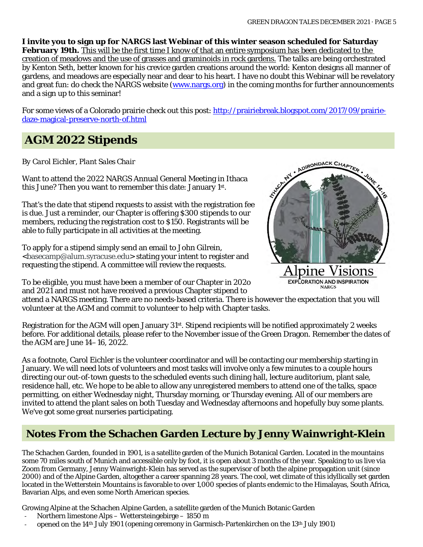**I invite you to sign up for NARGS last Webinar of this winter season scheduled for Saturday February 19th.** This will be the first time I know of that an entire symposium has been dedicated to the creation of meadows and the use of grasses and graminoids in rock gardens. The talks are being orchestrated by Kenton Seth, better known for his crevice garden creations around the world: Kenton designs all manner of gardens, and meadows are especially near and dear to his heart. I have no doubt this Webinar will be revelatory and great fun: do check the NARGS website (www.nargs.org) in the coming months for further announcements and a sign up to this seminar!

For some views of a Colorado prairie check out this post: [http://prairiebreak.blogspot.com/2017/09/prairie](http://prairiebreak.blogspot.com/2017/09/prairie-daze-magical-preserve-north-of.html)[daze-magical-preserve-north-of.html](http://prairiebreak.blogspot.com/2017/09/prairie-daze-magical-preserve-north-of.html)

### **AGM 2022 Stipends**

#### *By Carol Eichler, Plant Sales Chair*

Want to attend the 2022 NARGS Annual General Meeting in Ithaca this June? Then you want to remember this date: January 1st.

That's the date that stipend requests to assist with the registration fee is due. Just a reminder, our Chapter is offering \$300 stipends to our members, reducing the registration cost to \$150. Registrants will be able to fully participate in all activities at the meeting.

To apply for a stipend simply send an email to John Gilrein, [<basecamp@alum.syracuse.edu>](mailto:basecamp@alum.syracuse.edu) stating your intent to register and requesting the stipend. A committee will review the requests.

To be eligible, you must have been a member of our Chapter in 202o and 2021 and must not have received a previous Chapter stipend to



**EXPLORATION AND INSPIRATION NARGS** 

attend a NARGS meeting. There are no needs-based criteria. There is however the expectation that you will volunteer at the AGM and commit to volunteer to help with Chapter tasks.

Registration for the AGM will open January 31st. Stipend recipients will be notified approximately 2 weeks before. For additional details, please refer to the November issue of the Green Dragon. Remember the dates of the AGM are June 14–16, 2022.

As a footnote, Carol Eichler is the volunteer coordinator and will be contacting our membership starting in January. We will need lots of volunteers and most tasks will involve only a few minutes to a couple hours directing our out-of-town guests to the scheduled events such dining hall, lecture auditorium, plant sale, residence hall, etc. We hope to be able to allow any unregistered members to attend one of the talks, space permitting, on either Wednesday night, Thursday morning, or Thursday evening. All of our members are invited to attend the plant sales on both Tuesday and Wednesday afternoons and hopefully buy some plants. We've got some great nurseries participating.

### **Notes From the Schachen Garden Lecture by Jenny Wainwright-Klein**

The Schachen Garden, founded in 1901, is a satellite garden of the Munich Botanical Garden. Located in the mountains some 70 miles south of Munich and accessible only by foot, it is open about 3 months of the year. Speaking to us live via Zoom from Germany, Jenny Wainwright-Klein has served as the supervisor of both the alpine propagation unit (since 2000) and of the Alpine Garden, altogether a career spanning 28 years. The cool, wet climate of this idyllically set garden located in the Wetterstein Mountains is favorable to over 1,000 species of plants endemic to the Himalayas, South Africa, Bavarian Alps, and even some North American species.

Growing Alpine at the Schachen Alpine Garden, a satellite garden of the Munich Botanic Garden

- Northern limestone Alps Wettersteingebirge 1850 m
- opened on the 14<sup>th</sup> July 1901 (opening ceremony in Garmisch-Partenkirchen on the 13<sup>th</sup> July 1901)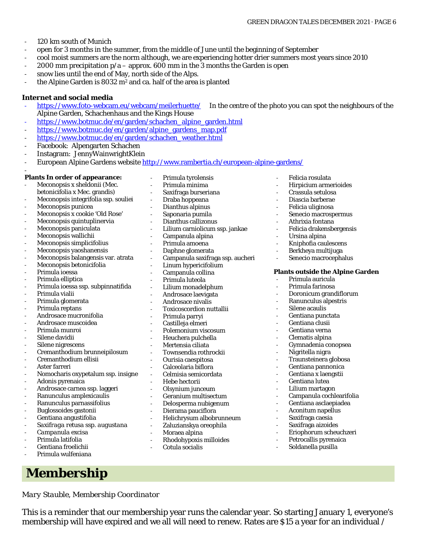- 120 km south of Munich
- open for 3 months in the summer, from the middle of June until the beginning of September
- cool moist summers are the norm although, we are experiencing hotter drier summers most years since 2010
- 2000 mm precipitation  $p/a$  approx. 600 mm in the  $3$  months the Garden is open
- snow lies until the end of May, north side of the Alps.
- the Alpine Garden is 8032 m<sup>2</sup> and ca. half of the area is planted

#### **Internet and social media**

- <https://www.foto-webcam.eu/webcam/meilerhuette/>In the centre of the photo you can spot the neighbours of the Alpine Garden, Schachenhaus and the Kings House
- [https://www.botmuc.de/en/garden/schachen\\_alpine\\_garden.html](https://www.botmuc.de/en/garden/schachen_alpine_garden.html)
- [https://www.botmuc.de/en/garden/alpine\\_gardens\\_map.pdf](https://www.botmuc.de/en/garden/alpine_gardens_map.pdf)
- [https://www.botmuc.de/en/garden/schachen\\_weather.html](https://www.botmuc.de/en/garden/schachen_weather.html)
- Facebook: Alpengarten Schachen
- Instagram: JennyWainwrightKlein
- European Alpine Gardens website<http://www.rambertia.ch/european-alpine-gardens/>

#### - **Plants In order of appearance:**

- Meconopsis x sheldonii (Mec. betonicifolia x Mec. grandis) Meconopsis integrifolia ssp. souliei
- Meconopsis punicea
- Meconopsis x cookie 'Old Rose'
- Meconopsis quintuplinervia
- Meconopsis paniculata
- Meconopsis wallichii
- Meconopsis simplicifolius
- Meconopsis yaoshanensis
- Meconopsis balangensis var. atrata
- Meconopsis betonicifolia
- Primula ioessa
- Primula elliptica
- Primula ioessa ssp. subpinnatifida
- Primula vialii
- Primula glomerata
- Primula reptans
- Androsace mucronifolia
- Androsace muscoidea
- Primula munroi
- Silene davidii
- Silene nigrescens
- Cremanthodium brunneipilosum
- Cremanthodium ellisii
- Aster farreri
- Nomocharis oxypetalum ssp. insigne
- Adonis pyrenaica
- Androsace carnea ssp. laggeri
- Ranunculus amplexicaulis
- Ranunculus parnassifolius
- Buglossoides gastonii
- Gentiana angustifolia
- *Saxifraga retusa ssp. augustana*
- *Campanula excisa*
- Primula latifolia
- Gentiana froelichii
- Primula wulfeniana

### **Membership**

*Mary Stauble, Membership Coordinator*

This is a reminder that our membership year runs the calendar year. So starting January 1, everyone's membership will have expired and we all will need to renew. Rates are \$15 a year for an individual /

- Primula tyrolensis Primula minima - Saxifraga burseriana - Draba hoppeana - Dianthus alpinus - Saponaria pumila Dianthus callizonus Lilium carniolicum ssp. jankae - Campanula alpina Primula amoena Daphne glomerata Campanula saxifraga ssp. aucheri Linum hypericifolium Campanula collina Primula luteola - Lilium monadelphum Androsace laevigata - Androsace nivalis - Toxicoscordion nuttallii - Primula parryi Castilleja elmeri Polemonium viscosum Heuchera pulchella Mertensia ciliata - Townsendia rothrockii - Ourisia caespitosa Calceolaria biflora - Celmisia semicordata - Hebe hectorii - Olsynium junceum - Geranium multisectum - Delosperma nubigenum Dierama pauciflora - Helichrysum albobrunneum Zaluzianskya oreophila Moraea alpina - Rhodohypoxis milloides
	- Cotula socialis
- Felicia rosulata
	- Hirpicium armerioides
	- Crassula setulosa
	- Diascia barberae
	- Felicia uliginosa
	- Senecio macrospermus
	- Athrixia fontana
- Felicia drakensbergensis
	- Ursina alpina
- Kniphofia caulescens
- Berkheya multijuga
- Senecio macrocephalus

#### **Plants outside the Alpine Garden**

- Primula auricula
- Primula farinosa
- Doronicum grandiflorum
- Ranunculus alpestris
- Silene acaulis
- Gentiana punctata
- Gentiana clusii
- Gentiana verna
- Clematis alpina
- Gymnadenia conopsea
- Nigritella nigra
- Traunsteinera globosa
- Gentiana pannonica
- Gentiana x laengstii
- Gentiana lutea
- Lilium martagon
- Campanula cochlearifolia
- Gentiana asclaepiadea
- Aconitum napellus
	- Saxifraga caesia
- Saxifraga aizoides
- Eriophorum scheuchzeri
- Petrocallis pyrenaica
- Soldanella pusilla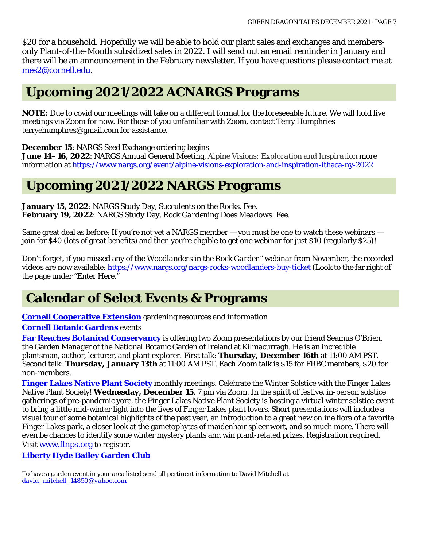\$20 for a household. Hopefully we will be able to hold our plant sales and exchanges and membersonly Plant-of-the-Month subsidized sales in 2022. I will send out an email reminder in January and there will be an announcement in the February newsletter. If you have questions please contact me at [mes2@cornell.edu.](mailto:mes2@cornell.edu)

# **Upcoming 2021/2022 ACNARGS Programs**

**NOTE:** Due to covid our meetings will take on a different format for the foreseeable future. We will hold live meetings via Zoom for now. For those of you unfamiliar with Zoom, contact Terry Humphries terryehumphres@gmail.com for assistance.

**December 15**: NARGS Seed Exchange ordering begins

**June 14–16, 2022**: NARGS Annual General Meeting, *Alpine Visions: Exploration and Inspiration* more information at<https://www.nargs.org/event/alpine-visions-exploration-and-inspiration-ithaca-ny-2022>

### **Upcoming 2021/2022 NARGS Programs**

**January 15, 2022**: NARGS Study Day, *Succulents on the Rocks*. Fee. **February 19, 2022**: NARGS Study Day, *Rock Gardening Does Meadows*. Fee.

Same great deal as before: If you're not yet a NARGS member — you must be one to watch these webinars join for \$40 (lots of great benefits) and then you're eligible to get one webinar for just \$10 (regularly \$25)!

Don't forget, if you missed any of the *Woodlanders in the Rock Garden*" webinar from November, the recorded videos are now available[: https://www.nargs.org/nargs-rocks-woodlanders-buy-ticket](https://www.nargs.org/nargs-rocks-woodlanders-buy-ticket) (Look to the far right of the page under "Enter Here."

## **Calendar of Select Events & Programs**

**[Cornell Cooperative Extension](http://ccetompkins.org/gardening)** gardening resources and information **[Cornell Botanic Gardens](https://cornellbotanicgardens.org/explore/events/)** events

**[Far Reaches Botanical Conservancy](https://farreachesbotanicalconservancy.org/Events.html)** is offering two Zoom presentations by our friend Seamus O'Brien, the Garden Manager of the National Botanic Garden of Ireland at Kilmacurragh. He is an incredible plantsman, author, lecturer, and plant explorer. First talk: **Thursday, December 16th** at 11:00 AM PST. Second talk: **Thursday, January 13th** at 11:00 AM PST. Each Zoom talk is \$15 for FRBC members, \$20 for non-members.

**[Finger Lakes Native Plant Society](https://flnps.org/)** monthly meetings. Celebrate the Winter Solstice with the Finger Lakes Native Plant Society! **Wednesday, December 15**, 7 pm via Zoom. In the spirit of festive, in-person solstice gatherings of pre-pandemic yore, the Finger Lakes Native Plant Society is hosting a virtual winter solstice event to bring a little mid-winter light into the lives of Finger Lakes plant lovers. Short presentations will include a visual tour of some botanical highlights of the past year, an introduction to a great new online flora of a favorite Finger Lakes park, a closer look at the gametophytes of maidenhair spleenwort, and so much more. There will even be chances to identify some winter mystery plants and win plant-related prizes. Registration required. Visi[t www.flnps.org](https://gcc02.safelinks.protection.outlook.com/?url=http%3A%2F%2Fwww.flnps.org%2F&data=04%7C01%7CWhitney.Carleton%40parks.ny.gov%7Ca313e51ad7814fa113e208d9b0f7cc21%7Cf46cb8ea79004d108ceb80e8c1c81ee7%7C0%7C0%7C637735400601456928%7CUnknown%7CTWFpbGZsb3d8eyJWIjoiMC4wLjAwMDAiLCJQIjoiV2luMzIiLCJBTiI6Ik1haWwiLCJXVCI6Mn0%3D%7C3000&sdata=B7xmT4lrtlRxINSroCfLF0WHhTN9CxoEQ8QvDPbKdqo%3D&reserved=0) to register.

**[Liberty Hyde Bailey Garden Club](http://www.hort.cornell.edu/LHBGC/)**

To have a garden event in your area listed send all pertinent information to David Mitchell at *[david\\_mitchell\\_14850@yahoo.com](mailto:david_mitchell_14850@yahoo.com)*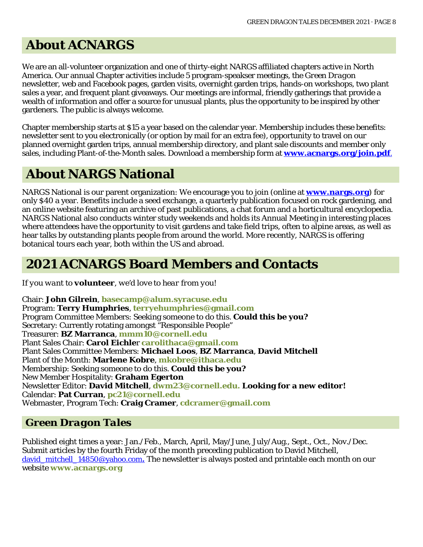# **About ACNARGS**

We are an all-volunteer organization and one of thirty-eight NARGS affiliated chapters active in North America. Our annual Chapter activities include 5 program-speakser meetings, the *Green Dragon*  newsletter, web and Facebook pages, garden visits, overnight garden trips, hands-on workshops, two plant sales a year, and frequent plant giveaways. Our meetings are informal, friendly gatherings that provide a wealth of information and offer a source for unusual plants, plus the opportunity to be inspired by other gardeners. The public is always welcome.

Chapter membership starts at \$15 a year based on the calendar year. Membership includes these benefits: newsletter sent to you electronically (or option by mail for an extra fee), opportunity to travel on our planned overnight garden trips, annual membership directory, and plant sale discounts and member only sales, including Plant-of-the-Month sales. Download a membership form at **[www.acnargs.org/join.pdf](http://www.acnargs.org/join.pdf.)**.

## **About NARGS National**

NARGS National is our parent organization: We encourage you to join (online at **www.nargs.org**) for only \$40 a year. Benefits include a seed exchange, a quarterly publication focused on rock gardening, and an online website featuring an archive of past publications, a chat forum and a horticultural encyclopedia. NARGS National also conducts winter study weekends and holds its Annual Meeting in interesting places where attendees have the opportunity to visit gardens and take field trips, often to alpine areas, as well as hear talks by outstanding plants people from around the world. More recently, NARGS is offering botanical tours each year, both within the US and abroad.

## **2021 ACNARGS Board Members and Contacts**

*If you want to volunteer, we'd love to hear from you!*

Chair: **John Gilrein**, **[basecamp@alum.syracuse.edu](mailto:basecamp@alum.syracuse.edu)**  Program: **Terry Humphries**, **[terryehumphries@gmail.com](mailto:terryehumphries@gmail.com)**  Program Committee Members: Seeking someone to do this. **Could this be you?** Secretary: Currently rotating amongst "Responsible People" Treasurer: **BZ Marranca**, **[mmm10@cornell.edu](mailto:mmm10@cornell.edu)** Plant Sales Chair: **Carol Eichle**r **[carolithaca@gmail.com](mailto:carolithaca@gmail.com)**  Plant Sales Committee Members: **Michael Loos**, **BZ Marranca**, **David Mitchell** Plant of the Month: **Marlene Kobre**, **[mkobre@ithaca.edu](mailto:mkobre@ithaca.edu)** Membership: Seeking someone to do this. **Could this be you?** New Member Hospitality: **Graham Egerton** Newsletter Editor: **David Mitchell**, **[dwm23@cornell.edu. L](mailto:dwm23@cornell.edu)ooking for a new editor!** Calendar: **Pat Curran**, **[pc21@cornell.edu](mailto:pc21@cornell.edu)** Webmaster, Program Tech: **Craig Cramer**, **[cdcramer@gmail.com](mailto:cdcramer@gmail.com)**

### *Green Dragon Tales*

Published eight times a year: Jan./Feb., March, April, May/June, July/Aug., Sept., Oct., Nov./Dec. Submit articles by the fourth Friday of the month preceding publication to David Mitchell, david mitchell 14850@yahoo.com. The newsletter is always posted and printable each month on our website **[www.acnargs.org](http://www.acnargs.org/)**